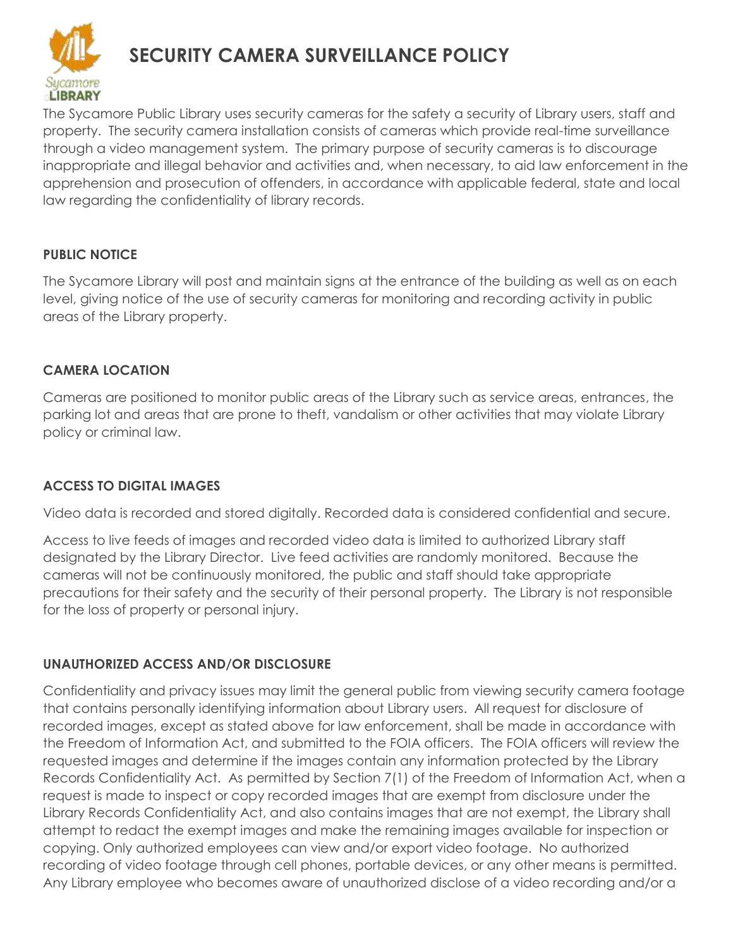

# **SECURITY CAMERA SURVEILLANCE POLICY**

The Sycamore Public Library uses security cameras for the safety a security of Library users, staff and property. The security camera installation consists of cameras which provide real-time surveillance through a video management system. The primary purpose of security cameras is to discourage inappropriate and illegal behavior and activities and, when necessary, to aid law enforcement in the apprehension and prosecution of offenders, in accordance with applicable federal, state and local law regarding the confidentiality of library records.

## **PUBLIC NOTICE**

The Sycamore Library will post and maintain signs at the entrance of the building as well as on each level, giving notice of the use of security cameras for monitoring and recording activity in public areas of the Library property.

## **CAMERA LOCATION**

Cameras are positioned to monitor public areas of the Library such as service areas, entrances, the parking lot and areas that are prone to theft, vandalism or other activities that may violate Library policy or criminal law.

# **ACCESS TO DIGITAL IMAGES**

Video data is recorded and stored digitally. Recorded data is considered confidential and secure.

Access to live feeds of images and recorded video data is limited to authorized Library staff designated by the Library Director. Live feed activities are randomly monitored. Because the cameras will not be continuously monitored, the public and staff should take appropriate precautions for their safety and the security of their personal property. The Library is not responsible for the loss of property or personal injury.

# **UNAUTHORIZED ACCESS AND/OR DISCLOSURE**

Confidentiality and privacy issues may limit the general public from viewing security camera footage that contains personally identifying information about Library users. All request for disclosure of recorded images, except as stated above for law enforcement, shall be made in accordance with the Freedom of Information Act, and submitted to the FOIA officers. The FOIA officers will review the requested images and determine if the images contain any information protected by the Library Records Confidentiality Act. As permitted by Section 7(1) of the Freedom of Information Act, when a request is made to inspect or copy recorded images that are exempt from disclosure under the Library Records Confidentiality Act, and also contains images that are not exempt, the Library shall attempt to redact the exempt images and make the remaining images available for inspection or copying. Only authorized employees can view and/or export video footage. No authorized recording of video footage through cell phones, portable devices, or any other means is permitted. Any Library employee who becomes aware of unauthorized disclose of a video recording and/or a